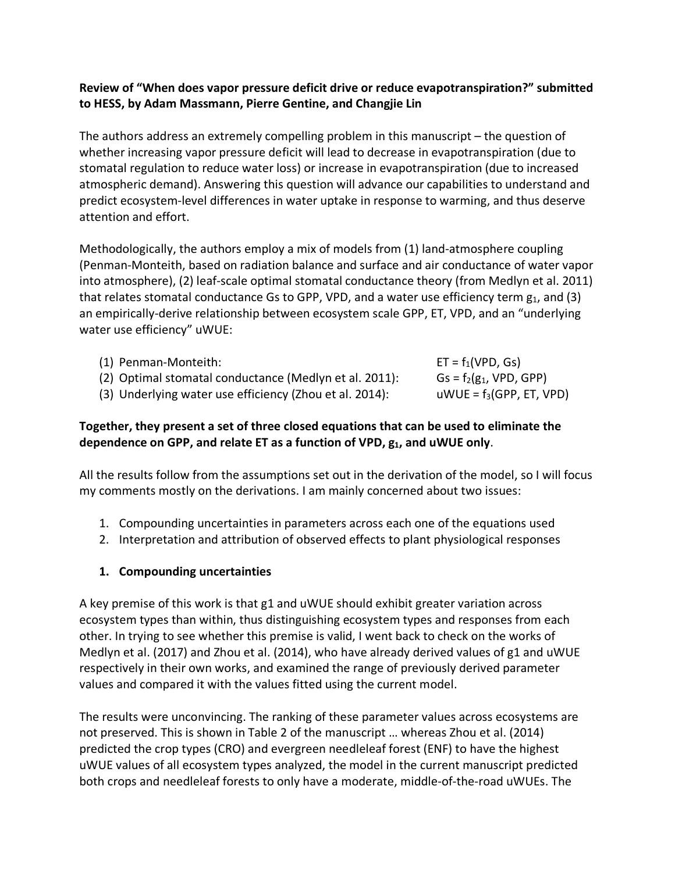### **Review of "When does vapor pressure deficit drive or reduce evapotranspiration?" submitted to HESS, by Adam Massmann, Pierre Gentine, and Changjie Lin**

The authors address an extremely compelling problem in this manuscript – the question of whether increasing vapor pressure deficit will lead to decrease in evapotranspiration (due to stomatal regulation to reduce water loss) or increase in evapotranspiration (due to increased atmospheric demand). Answering this question will advance our capabilities to understand and predict ecosystem-level differences in water uptake in response to warming, and thus deserve attention and effort.

Methodologically, the authors employ a mix of models from (1) land-atmosphere coupling (Penman-Monteith, based on radiation balance and surface and air conductance of water vapor into atmosphere), (2) leaf-scale optimal stomatal conductance theory (from Medlyn et al. 2011) that relates stomatal conductance Gs to GPP, VPD, and a water use efficiency term  $g_1$ , and (3) an empirically-derive relationship between ecosystem scale GPP, ET, VPD, and an "underlying water use efficiency" uWUE:

- (1) Penman-Monteith:  $ET = f_1(VPD, GS)$
- (2) Optimal stomatal conductance (Medlyn et al. 2011): Gs =  $f_2(g_1, VPD, GPP)$
- (3) Underlying water use efficiency (Zhou et al. 2014):  $uWUE = f_3(GPP, ET, VPD)$

# **Together, they present a set of three closed equations that can be used to eliminate the**  dependence on GPP, and relate ET as a function of VPD,  $g_1$ , and uWUE only.

All the results follow from the assumptions set out in the derivation of the model, so I will focus my comments mostly on the derivations. I am mainly concerned about two issues:

- 1. Compounding uncertainties in parameters across each one of the equations used
- 2. Interpretation and attribution of observed effects to plant physiological responses

# **1. Compounding uncertainties**

A key premise of this work is that g1 and uWUE should exhibit greater variation across ecosystem types than within, thus distinguishing ecosystem types and responses from each other. In trying to see whether this premise is valid, I went back to check on the works of Medlyn et al. (2017) and Zhou et al. (2014), who have already derived values of g1 and uWUE respectively in their own works, and examined the range of previously derived parameter values and compared it with the values fitted using the current model.

The results were unconvincing. The ranking of these parameter values across ecosystems are not preserved. This is shown in Table 2 of the manuscript … whereas Zhou et al. (2014) predicted the crop types (CRO) and evergreen needleleaf forest (ENF) to have the highest uWUE values of all ecosystem types analyzed, the model in the current manuscript predicted both crops and needleleaf forests to only have a moderate, middle-of-the-road uWUEs. The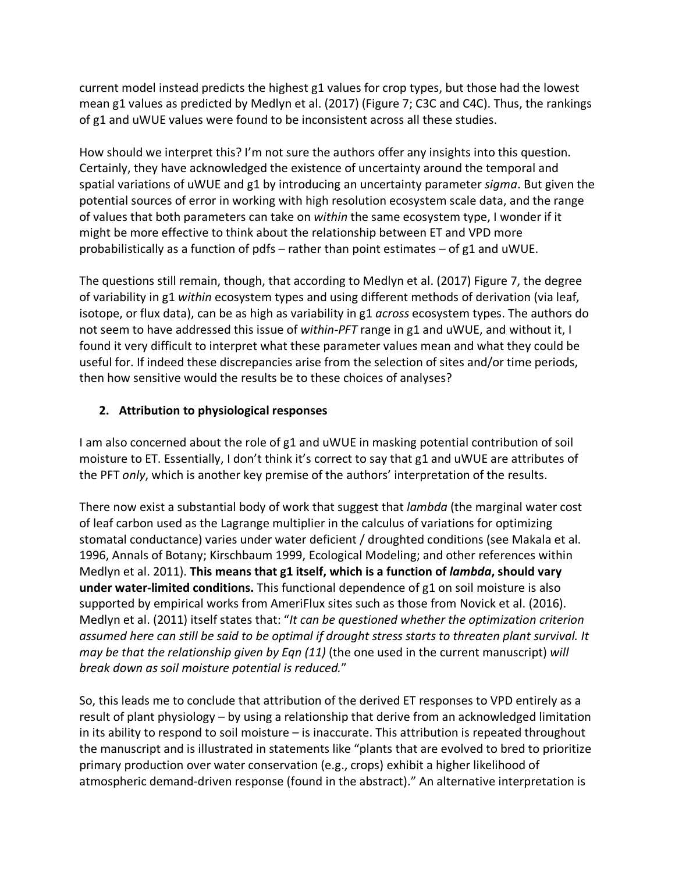current model instead predicts the highest g1 values for crop types, but those had the lowest mean g1 values as predicted by Medlyn et al. (2017) (Figure 7; C3C and C4C). Thus, the rankings of g1 and uWUE values were found to be inconsistent across all these studies.

How should we interpret this? I'm not sure the authors offer any insights into this question. Certainly, they have acknowledged the existence of uncertainty around the temporal and spatial variations of uWUE and g1 by introducing an uncertainty parameter *sigma*. But given the potential sources of error in working with high resolution ecosystem scale data, and the range of values that both parameters can take on *within* the same ecosystem type, I wonder if it might be more effective to think about the relationship between ET and VPD more probabilistically as a function of pdfs – rather than point estimates – of  $g1$  and uWUE.

The questions still remain, though, that according to Medlyn et al. (2017) Figure 7, the degree of variability in g1 *within* ecosystem types and using different methods of derivation (via leaf, isotope, or flux data), can be as high as variability in g1 *across* ecosystem types. The authors do not seem to have addressed this issue of *within-PFT* range in g1 and uWUE, and without it, I found it very difficult to interpret what these parameter values mean and what they could be useful for. If indeed these discrepancies arise from the selection of sites and/or time periods, then how sensitive would the results be to these choices of analyses?

## **2. Attribution to physiological responses**

I am also concerned about the role of g1 and uWUE in masking potential contribution of soil moisture to ET. Essentially, I don't think it's correct to say that g1 and uWUE are attributes of the PFT *only*, which is another key premise of the authors' interpretation of the results.

There now exist a substantial body of work that suggest that *lambda* (the marginal water cost of leaf carbon used as the Lagrange multiplier in the calculus of variations for optimizing stomatal conductance) varies under water deficient / droughted conditions (see Makala et al. 1996, Annals of Botany; Kirschbaum 1999, Ecological Modeling; and other references within Medlyn et al. 2011). **This means that g1 itself, which is a function of** *lambda***, should vary under water-limited conditions.** This functional dependence of g1 on soil moisture is also supported by empirical works from AmeriFlux sites such as those from Novick et al. (2016). Medlyn et al. (2011) itself states that: "*It can be questioned whether the optimization criterion assumed here can still be said to be optimal if drought stress starts to threaten plant survival. It may be that the relationship given by Eqn (11)* (the one used in the current manuscript) *will break down as soil moisture potential is reduced.*"

So, this leads me to conclude that attribution of the derived ET responses to VPD entirely as a result of plant physiology – by using a relationship that derive from an acknowledged limitation in its ability to respond to soil moisture – is inaccurate. This attribution is repeated throughout the manuscript and is illustrated in statements like "plants that are evolved to bred to prioritize primary production over water conservation (e.g., crops) exhibit a higher likelihood of atmospheric demand-driven response (found in the abstract)." An alternative interpretation is